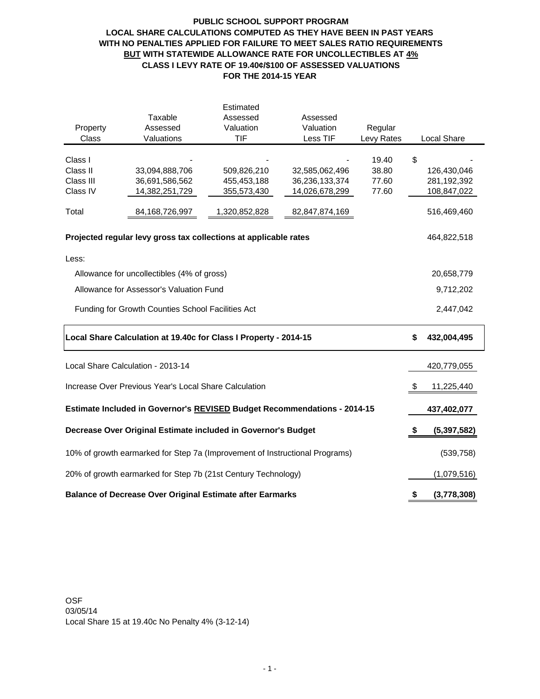# **PUBLIC SCHOOL SUPPORT PROGRAM LOCAL SHARE CALCULATIONS COMPUTED AS THEY HAVE BEEN IN PAST YEARS WITH NO PENALTIES APPLIED FOR FAILURE TO MEET SALES RATIO REQUIREMENTS BUT WITH STATEWIDE ALLOWANCE RATE FOR UNCOLLECTIBLES AT 4% CLASS I LEVY RATE OF 19.40¢/\$100 OF ASSESSED VALUATIONS FOR THE 2014-15 YEAR**

|                                                                                 |                                                                  | Estimated     |                |                |    |                    |
|---------------------------------------------------------------------------------|------------------------------------------------------------------|---------------|----------------|----------------|----|--------------------|
|                                                                                 | Taxable                                                          | Assessed      | Assessed       |                |    |                    |
| Property                                                                        | Assessed                                                         | Valuation     | Valuation      | Regular        |    |                    |
| Class                                                                           | Valuations                                                       | <b>TIF</b>    | Less TIF       | Levy Rates     |    | <b>Local Share</b> |
|                                                                                 |                                                                  |               |                |                |    |                    |
| Class I<br>Class II                                                             | 33,094,888,706                                                   | 509,826,210   | 32,585,062,496 | 19.40<br>38.80 | \$ | 126,430,046        |
| Class III                                                                       | 36,691,586,562                                                   | 455,453,188   | 36,236,133,374 | 77.60          |    | 281,192,392        |
| Class IV                                                                        | 14,382,251,729                                                   | 355,573,430   | 14,026,678,299 | 77.60          |    | 108,847,022        |
|                                                                                 |                                                                  |               |                |                |    |                    |
| Total                                                                           | 84,168,726,997                                                   | 1,320,852,828 | 82,847,874,169 |                |    | 516,469,460        |
|                                                                                 | Projected regular levy gross tax collections at applicable rates |               |                |                |    | 464,822,518        |
| Less:                                                                           |                                                                  |               |                |                |    |                    |
| Allowance for uncollectibles (4% of gross)                                      |                                                                  | 20,658,779    |                |                |    |                    |
| Allowance for Assessor's Valuation Fund                                         |                                                                  | 9,712,202     |                |                |    |                    |
| Funding for Growth Counties School Facilities Act                               |                                                                  | 2,447,042     |                |                |    |                    |
| Local Share Calculation at 19.40c for Class I Property - 2014-15                | \$                                                               | 432,004,495   |                |                |    |                    |
| Local Share Calculation - 2013-14                                               |                                                                  | 420,779,055   |                |                |    |                    |
| Increase Over Previous Year's Local Share Calculation                           |                                                                  |               |                |                |    | 11,225,440         |
| <b>Estimate Included in Governor's REVISED Budget Recommendations - 2014-15</b> |                                                                  | 437,402,077   |                |                |    |                    |
| Decrease Over Original Estimate included in Governor's Budget                   |                                                                  |               |                |                |    | (5,397,582)        |
| 10% of growth earmarked for Step 7a (Improvement of Instructional Programs)     |                                                                  |               |                |                |    | (539, 758)         |
| 20% of growth earmarked for Step 7b (21st Century Technology)                   |                                                                  | (1,079,516)   |                |                |    |                    |
| <b>Balance of Decrease Over Original Estimate after Earmarks</b>                | \$                                                               | (3,778,308)   |                |                |    |                    |

OSF 03/05/14 Local Share 15 at 19.40c No Penalty 4% (3-12-14)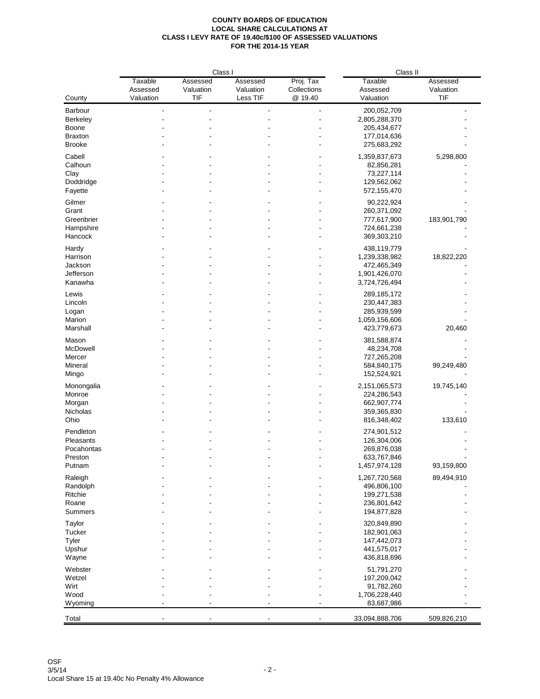|                     | Class I             |                       |                       | Class II                 |                              |                       |
|---------------------|---------------------|-----------------------|-----------------------|--------------------------|------------------------------|-----------------------|
|                     | Taxable<br>Assessed | Assessed<br>Valuation | Assessed<br>Valuation | Proj. Tax<br>Collections | Taxable<br>Assessed          | Assessed<br>Valuation |
| County              | Valuation           | <b>TIF</b>            | Less TIF              | @ 19.40                  | Valuation                    | TIF                   |
| Barbour             |                     |                       |                       |                          | 200,052,709                  |                       |
| Berkeley            |                     |                       |                       |                          | 2,805,288,370                |                       |
| Boone               |                     |                       |                       |                          | 205,434,677                  |                       |
| <b>Braxton</b>      |                     |                       |                       |                          | 177,014,636                  |                       |
| <b>Brooke</b>       |                     |                       |                       |                          | 275,683,292                  |                       |
| Cabell              |                     |                       |                       |                          | 1,359,837,673                | 5,298,800             |
| Calhoun             |                     |                       |                       |                          | 82,856,281                   |                       |
| Clay                |                     |                       |                       |                          | 73,227,114                   |                       |
| Doddridge           |                     |                       |                       |                          | 129,562,062                  |                       |
| Fayette             |                     |                       |                       |                          | 572,155,470                  |                       |
| Gilmer              |                     |                       |                       |                          |                              |                       |
| Grant               |                     |                       |                       |                          | 90,222,924                   |                       |
|                     |                     |                       |                       |                          | 260,371,092                  |                       |
| Greenbrier          |                     |                       |                       |                          | 777,617,900                  | 183,901,790           |
| Hampshire           |                     |                       |                       |                          | 724,661,238                  |                       |
| Hancock             |                     |                       |                       |                          | 369,303,210                  |                       |
| Hardy               |                     |                       |                       |                          | 438,119,779                  |                       |
| Harrison            |                     |                       |                       |                          | 1,239,338,982                | 18,822,220            |
| Jackson             |                     |                       |                       |                          | 472,465,349                  |                       |
| Jefferson           |                     |                       |                       |                          | 1,901,426,070                |                       |
| Kanawha             |                     |                       |                       |                          | 3,724,726,494                |                       |
|                     |                     |                       |                       |                          |                              |                       |
| Lewis               |                     |                       |                       |                          | 289,185,172                  |                       |
| Lincoln             |                     |                       |                       |                          | 230,447,383                  |                       |
| Logan               |                     |                       |                       |                          | 285,939,599                  |                       |
| Marion              |                     |                       |                       |                          | 1,059,156,606                |                       |
| Marshall            |                     |                       |                       |                          | 423,779,673                  | 20,460                |
| Mason               |                     |                       |                       |                          | 381,588,874                  |                       |
| McDowell            |                     |                       |                       |                          | 48,234,708                   |                       |
| Mercer              |                     |                       |                       |                          | 727,265,208                  |                       |
| Mineral             |                     |                       |                       |                          | 584,840,175                  | 99,249,480            |
| Mingo               |                     |                       |                       |                          | 152,524,921                  |                       |
|                     |                     |                       |                       |                          |                              |                       |
| Monongalia          |                     |                       |                       |                          | 2,151,065,573                | 19,745,140            |
| Monroe              |                     |                       |                       |                          | 224,286,543                  |                       |
| Morgan              |                     |                       |                       |                          | 662,907,774                  |                       |
| Nicholas            |                     |                       |                       |                          | 359,365,830                  |                       |
| Ohio                |                     |                       |                       |                          | 816,348,402                  | 133,610               |
| Pendleton           |                     |                       |                       |                          | 274,901,512                  |                       |
| Pleasants           |                     |                       |                       |                          | 126,304,006                  |                       |
| Pocahontas          |                     |                       |                       |                          | 269,876,038                  |                       |
| Preston             |                     |                       |                       |                          | 633,767,846                  |                       |
| Putnam              |                     |                       |                       |                          | 1,457,974,128                | 93,159,800            |
|                     |                     |                       |                       |                          |                              | 89,494,910            |
| Raleigh<br>Randolph |                     |                       |                       |                          | 1,267,720,568<br>496,806,100 |                       |
| Ritchie             |                     |                       |                       |                          |                              |                       |
|                     |                     |                       |                       |                          | 199,271,538                  |                       |
| Roane               |                     |                       |                       |                          | 236,801,642                  |                       |
| Summers             |                     |                       |                       |                          | 194,877,828                  |                       |
| Taylor              |                     |                       |                       |                          | 320,849,890                  |                       |
| Tucker              |                     |                       |                       |                          | 182,901,063                  |                       |
| Tyler               |                     |                       |                       |                          | 147,442,073                  |                       |
| Upshur              |                     |                       |                       |                          | 441,575,017                  |                       |
| Wayne               |                     |                       |                       |                          | 436,818,696                  |                       |
|                     |                     |                       |                       |                          |                              |                       |
| Webster             |                     |                       |                       |                          | 51,791,270                   |                       |
| Wetzel              |                     |                       |                       |                          | 197,209,042                  |                       |
| Wirt                |                     |                       |                       |                          | 91,782,260                   |                       |
| Wood                |                     |                       |                       |                          | 1,706,228,440                |                       |
| Wyoming             |                     |                       |                       |                          | 83,687,986                   |                       |
| Total               |                     |                       |                       |                          | 33,094,888,706               | 509,826,210           |
|                     |                     |                       |                       |                          |                              |                       |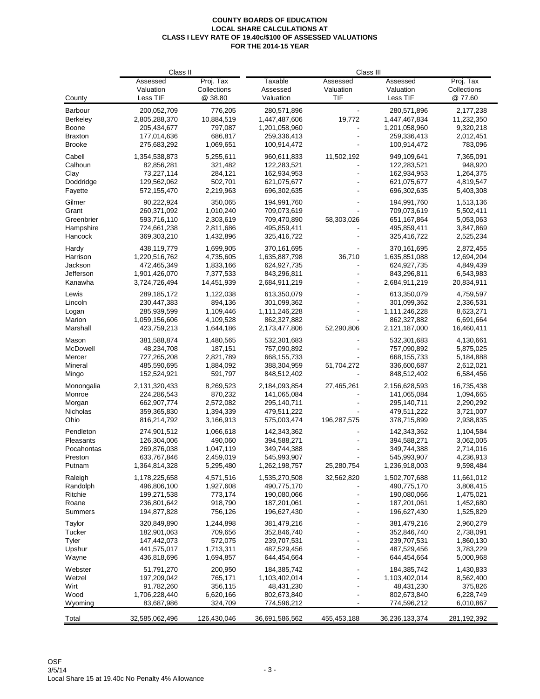|                 | Class II                          |                                     | Class III                        |                              |                                   |                                    |
|-----------------|-----------------------------------|-------------------------------------|----------------------------------|------------------------------|-----------------------------------|------------------------------------|
| County          | Assessed<br>Valuation<br>Less TIF | Proj. Tax<br>Collections<br>@ 38.80 | Taxable<br>Assessed<br>Valuation | Assessed<br>Valuation<br>TIF | Assessed<br>Valuation<br>Less TIF | Proj. Tax<br>Collections<br>@77.60 |
|                 |                                   |                                     |                                  |                              |                                   |                                    |
| Barbour         | 200,052,709                       | 776,205                             | 280,571,896                      |                              | 280,571,896                       | 2,177,238                          |
| <b>Berkeley</b> | 2,805,288,370                     | 10,884,519                          | 1,447,487,606                    | 19,772                       | 1,447,467,834                     | 11,232,350                         |
| Boone           | 205,434,677                       | 797,087                             | 1,201,058,960                    |                              | 1,201,058,960                     | 9,320,218                          |
| <b>Braxton</b>  | 177,014,636                       | 686,817                             | 259,336,413                      |                              | 259,336,413                       | 2,012,451                          |
| <b>Brooke</b>   | 275,683,292                       | 1,069,651                           | 100,914,472                      |                              | 100,914,472                       | 783,096                            |
| Cabell          | 1,354,538,873                     | 5,255,611                           | 960.611.833                      | 11,502,192                   | 949,109,641                       | 7,365,091                          |
| Calhoun         | 82,856,281                        | 321,482                             | 122,283,521                      |                              | 122,283,521                       | 948,920                            |
| Clay            | 73,227,114                        | 284,121                             | 162,934,953                      |                              | 162,934,953                       | 1,264,375                          |
| Doddridge       | 129,562,062                       | 502,701                             | 621,075,677                      |                              | 621,075,677                       | 4,819,547                          |
| Fayette         | 572,155,470                       | 2,219,963                           | 696,302,635                      |                              | 696,302,635                       | 5,403,308                          |
| Gilmer          | 90,222,924                        | 350,065                             | 194,991,760                      |                              | 194,991,760                       | 1,513,136                          |
| Grant           | 260,371,092                       | 1,010,240                           | 709,073,619                      |                              | 709,073,619                       | 5,502,411                          |
| Greenbrier      | 593,716,110                       | 2,303,619                           |                                  | 58,303,026                   |                                   |                                    |
|                 |                                   |                                     | 709,470,890                      |                              | 651, 167, 864                     | 5,053,063                          |
| Hampshire       | 724,661,238                       | 2,811,686                           | 495,859,411                      |                              | 495,859,411                       | 3,847,869                          |
| Hancock         | 369,303,210                       | 1,432,896                           | 325,416,722                      |                              | 325,416,722                       | 2,525,234                          |
| Hardy           | 438,119,779                       | 1,699,905                           | 370,161,695                      |                              | 370,161,695                       | 2,872,455                          |
| Harrison        | 1,220,516,762                     | 4,735,605                           | 1,635,887,798                    | 36,710                       | 1,635,851,088                     | 12,694,204                         |
| Jackson         | 472,465,349                       | 1,833,166                           | 624,927,735                      |                              | 624,927,735                       | 4,849,439                          |
| Jefferson       | 1,901,426,070                     | 7,377,533                           | 843,296,811                      |                              | 843,296,811                       | 6,543,983                          |
| Kanawha         | 3,724,726,494                     | 14,451,939                          | 2,684,911,219                    |                              | 2,684,911,219                     | 20,834,911                         |
| Lewis           | 289,185,172                       | 1,122,038                           | 613,350,079                      |                              | 613,350,079                       | 4,759,597                          |
| Lincoln         |                                   | 894,136                             | 301,099,362                      |                              |                                   |                                    |
|                 | 230,447,383                       |                                     |                                  |                              | 301,099,362                       | 2,336,531                          |
| Logan           | 285,939,599                       | 1,109,446                           | 1,111,246,228                    |                              | 1,111,246,228                     | 8,623,271                          |
| Marion          | 1,059,156,606                     | 4,109,528                           | 862,327,882                      |                              | 862,327,882                       | 6,691,664                          |
| Marshall        | 423,759,213                       | 1,644,186                           | 2,173,477,806                    | 52,290,806                   | 2,121,187,000                     | 16,460,411                         |
| Mason           | 381,588,874                       | 1,480,565                           | 532,301,683                      |                              | 532,301,683                       | 4,130,661                          |
| McDowell        | 48,234,708                        | 187,151                             | 757,090,892                      |                              | 757,090,892                       | 5,875,025                          |
| Mercer          | 727,265,208                       | 2,821,789                           | 668, 155, 733                    |                              | 668, 155, 733                     | 5,184,888                          |
| Mineral         | 485,590,695                       | 1,884,092                           | 388,304,959                      | 51,704,272                   | 336,600,687                       | 2,612,021                          |
| Mingo           | 152,524,921                       | 591,797                             | 848,512,402                      |                              | 848,512,402                       | 6,584,456                          |
| Monongalia      | 2,131,320,433                     | 8,269,523                           | 2,184,093,854                    | 27,465,261                   | 2,156,628,593                     | 16,735,438                         |
| Monroe          | 224,286,543                       | 870,232                             | 141,065,084                      |                              | 141,065,084                       | 1,094,665                          |
|                 |                                   | 2,572,082                           |                                  |                              |                                   |                                    |
| Morgan          | 662,907,774                       |                                     | 295,140,711                      |                              | 295,140,711                       | 2,290,292                          |
| Nicholas        | 359,365,830                       | 1,394,339                           | 479,511,222                      |                              | 479,511,222                       | 3,721,007                          |
| Ohio            | 816,214,792                       | 3,166,913                           | 575,003,474                      | 196,287,575                  | 378,715,899                       | 2,938,835                          |
| Pendleton       | 274,901,512                       | 1,066,618                           | 142,343,362                      |                              | 142,343,362                       | 1,104,584                          |
| Pleasants       | 126,304,006                       | 490,060                             | 394,588,271                      |                              | 394,588,271                       | 3,062,005                          |
| Pocahontas      | 269,876,038                       | 1,047,119                           | 349,744,388                      |                              | 349,744,388                       | 2,714,016                          |
| Preston         | 633,767,846                       | 2,459,019                           | 545,993,907                      |                              | 545,993,907                       | 4,236,913                          |
| Putnam          | 1,364,814,328                     | 5,295,480                           | 1,262,198,757                    | 25,280,754                   | 1,236,918,003                     | 9,598,484                          |
| Raleigh         | 1,178,225,658                     | 4,571,516                           | 1,535,270,508                    | 32,562,820                   | 1,502,707,688                     | 11,661,012                         |
|                 |                                   |                                     |                                  |                              |                                   |                                    |
| Randolph        | 496,806,100                       | 1,927,608                           | 490,775,170                      |                              | 490,775,170                       | 3,808,415                          |
| Ritchie         | 199,271,538                       | 773,174                             | 190,080,066                      |                              | 190,080,066                       | 1,475,021                          |
| Roane           | 236,801,642                       | 918,790                             | 187,201,061                      |                              | 187,201,061                       | 1,452,680                          |
| Summers         | 194,877,828                       | 756,126                             | 196,627,430                      |                              | 196,627,430                       | 1,525,829                          |
| Taylor          | 320,849,890                       | 1,244,898                           | 381,479,216                      |                              | 381,479,216                       | 2,960,279                          |
| Tucker          | 182,901,063                       | 709,656                             | 352,846,740                      |                              | 352,846,740                       | 2,738,091                          |
| Tyler           | 147,442,073                       | 572,075                             | 239,707,531                      |                              | 239,707,531                       | 1,860,130                          |
| Upshur          | 441,575,017                       | 1,713,311                           | 487,529,456                      |                              | 487,529,456                       | 3,783,229                          |
| Wayne           | 436,818,696                       | 1,694,857                           | 644,454,664                      |                              | 644,454,664                       | 5,000,968                          |
|                 |                                   |                                     |                                  |                              |                                   |                                    |
| Webster         | 51,791,270                        | 200,950                             | 184,385,742                      |                              | 184,385,742                       | 1,430,833                          |
| Wetzel          | 197,209,042                       | 765,171                             | 1,103,402,014                    |                              | 1,103,402,014                     | 8,562,400                          |
| Wirt            | 91,782,260                        | 356,115                             | 48,431,230                       |                              | 48,431,230                        | 375,826                            |
| Wood            | 1,706,228,440                     | 6,620,166                           | 802,673,840                      |                              | 802,673,840                       | 6,228,749                          |
| Wyoming         | 83,687,986                        | 324,709                             | 774,596,212                      |                              | 774,596,212                       | 6,010,867                          |
|                 |                                   |                                     |                                  |                              |                                   |                                    |
| Total           | 32,585,062,496                    | 126,430,046                         | 36,691,586,562                   | 455,453,188                  | 36,236,133,374                    | 281,192,392                        |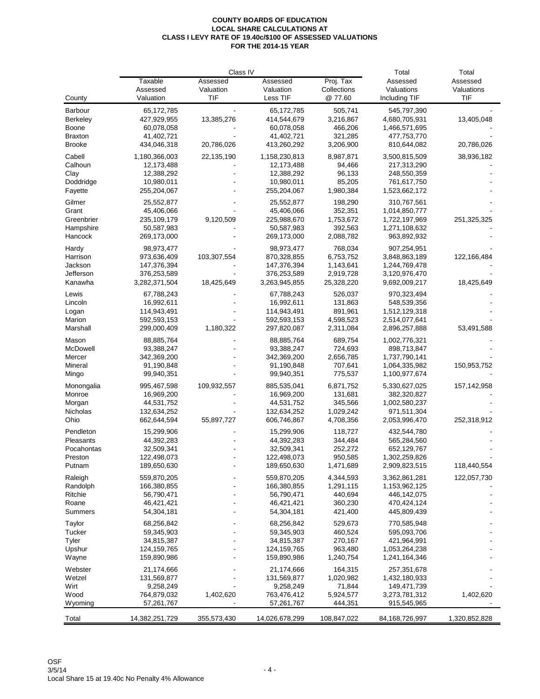|                      |                           | Total                    | Total                     |             |                              |               |
|----------------------|---------------------------|--------------------------|---------------------------|-------------|------------------------------|---------------|
|                      | Taxable                   | Class IV<br>Assessed     | Assessed                  | Proj. Tax   | Assessed                     | Assessed      |
|                      | Assessed                  | Valuation                | Valuation                 | Collections | Valuations                   | Valuations    |
| County               | Valuation                 | TIF                      | Less TIF                  | @ 77.60     | Including TIF                | TIF           |
| Barbour              | 65,172,785                |                          | 65,172,785                | 505,741     | 545,797,390                  |               |
| <b>Berkeley</b>      | 427,929,955               | 13,385,276               | 414,544,679               | 3,216,867   | 4,680,705,931                | 13,405,048    |
| Boone                | 60,078,058                |                          | 60,078,058                | 466,206     | 1,466,571,695                |               |
| <b>Braxton</b>       | 41,402,721                |                          | 41,402,721                | 321,285     | 477,753,770                  |               |
| <b>Brooke</b>        | 434,046,318               | 20,786,026               | 413,260,292               | 3,206,900   | 810,644,082                  | 20,786,026    |
| Cabell               | 1,180,366,003             | 22,135,190               | 1,158,230,813             | 8,987,871   | 3,500,815,509                | 38,936,182    |
| Calhoun              | 12,173,488                |                          | 12,173,488                | 94,466      | 217,313,290                  |               |
| Clay                 | 12,388,292                |                          | 12,388,292                | 96,133      | 248,550,359                  |               |
| Doddridge            | 10,980,011                |                          | 10,980,011                | 85,205      | 761,617,750                  |               |
| Fayette              | 255,204,067               |                          | 255,204,067               | 1,980,384   | 1,523,662,172                |               |
|                      |                           |                          |                           | 198,290     |                              |               |
| Gilmer<br>Grant      | 25,552,877<br>45,406,066  |                          | 25,552,877<br>45,406,066  | 352,351     | 310,767,561<br>1,014,850,777 |               |
| Greenbrier           | 235,109,179               | 9,120,509                | 225,988,670               | 1,753,672   | 1,722,197,969                | 251,325,325   |
|                      |                           |                          |                           | 392,563     |                              |               |
| Hampshire<br>Hancock | 50,587,983<br>269,173,000 |                          | 50,587,983<br>269,173,000 | 2,088,782   | 1,271,108,632<br>963,892,932 |               |
|                      |                           |                          |                           |             |                              |               |
| Hardy                | 98,973,477                |                          | 98,973,477                | 768,034     | 907,254,951                  |               |
| Harrison             | 973,636,409               | 103,307,554              | 870,328,855               | 6,753,752   | 3,848,863,189                | 122,166,484   |
| Jackson              | 147,376,394               |                          | 147,376,394               | 1,143,641   | 1,244,769,478                |               |
| Jefferson            | 376,253,589               |                          | 376,253,589               | 2,919,728   | 3,120,976,470                |               |
| Kanawha              | 3,282,371,504             | 18,425,649               | 3,263,945,855             | 25,328,220  | 9,692,009,217                | 18,425,649    |
| Lewis                | 67,788,243                |                          | 67,788,243                | 526,037     | 970,323,494                  |               |
| Lincoln              | 16,992,611                |                          | 16,992,611                | 131,863     | 548,539,356                  |               |
| Logan                | 114,943,491               |                          | 114,943,491               | 891,961     | 1,512,129,318                |               |
| Marion               | 592,593,153               |                          | 592,593,153               | 4,598,523   | 2,514,077,641                |               |
| Marshall             | 299,000,409               | 1,180,322                | 297,820,087               | 2,311,084   | 2,896,257,888                | 53,491,588    |
| Mason                | 88,885,764                |                          | 88,885,764                | 689,754     | 1,002,776,321                |               |
| McDowell             | 93,388,247                |                          | 93,388,247                | 724,693     | 898,713,847                  |               |
| Mercer               | 342,369,200               |                          | 342,369,200               | 2,656,785   | 1,737,790,141                |               |
| Mineral              | 91,190,848                |                          | 91,190,848                | 707,641     | 1,064,335,982                | 150,953,752   |
| Mingo                | 99,940,351                |                          | 99,940,351                | 775,537     | 1,100,977,674                |               |
| Monongalia           | 995,467,598               | 109,932,557              | 885,535,041               | 6,871,752   | 5,330,627,025                | 157,142,958   |
| Monroe               | 16,969,200                |                          | 16,969,200                | 131,681     | 382,320,827                  |               |
| Morgan               | 44,531,752                |                          | 44,531,752                | 345,566     | 1,002,580,237                |               |
| <b>Nicholas</b>      | 132,634,252               |                          | 132,634,252               | 1,029,242   | 971,511,304                  |               |
| Ohio                 | 662,644,594               | 55,897,727               | 606,746,867               | 4,708,356   | 2,053,996,470                | 252,318,912   |
| Pendleton            | 15,299,906                |                          | 15,299,906                | 118,727     | 432,544,780                  |               |
| Pleasants            | 44,392,283                |                          | 44,392,283                | 344,484     | 565,284,560                  |               |
| Pocahontas           | 32,509,341                |                          | 32,509,341                | 252,272     | 652,129,767                  |               |
| Preston              | 122,498,073               |                          | 122,498,073               | 950,585     | 1,302,259,826                |               |
| Putnam               | 189,650,630               |                          | 189,650,630               | 1,471,689   | 2,909,823,515                | 118,440,554   |
| Raleigh              | 559,870,205               |                          | 559,870,205               | 4,344,593   | 3,362,861,281                | 122,057,730   |
| Randolph             | 166,380,855               |                          | 166,380,855               | 1,291,115   | 1,153,962,125                |               |
| Ritchie              | 56,790,471                |                          | 56,790,471                | 440,694     | 446,142,075                  |               |
| Roane                | 46,421,421                |                          | 46,421,421                | 360,230     | 470,424,124                  |               |
| Summers              | 54,304,181                |                          | 54,304,181                | 421,400     | 445,809,439                  |               |
|                      |                           |                          |                           |             |                              |               |
| Taylor               | 68,256,842                |                          | 68,256,842                | 529,673     | 770,585,948                  |               |
| Tucker               | 59,345,903                |                          | 59,345,903                | 460,524     | 595,093,706                  |               |
| Tyler                | 34,815,387                |                          | 34,815,387                | 270,167     | 421,964,991                  |               |
| Upshur               | 124,159,765               |                          | 124,159,765               | 963,480     | 1,053,264,238                |               |
| Wayne                | 159,890,986               |                          | 159,890,986               | 1,240,754   | 1,241,164,346                |               |
| Webster              | 21,174,666                |                          | 21,174,666                | 164,315     | 257,351,678                  |               |
| Wetzel               | 131,569,877               |                          | 131,569,877               | 1,020,982   | 1,432,180,933                |               |
| Wirt                 | 9,258,249                 |                          | 9,258,249                 | 71,844      | 149,471,739                  |               |
| Wood                 | 764,879,032               | 1,402,620                | 763,476,412               | 5,924,577   | 3,273,781,312                | 1,402,620     |
| Wyoming              | 57,261,767                | $\overline{\phantom{a}}$ | 57,261,767                | 444,351     | 915,545,965                  |               |
| Total                | 14,382,251,729            | 355,573,430              | 14,026,678,299            | 108,847,022 | 84,168,726,997               | 1,320,852,828 |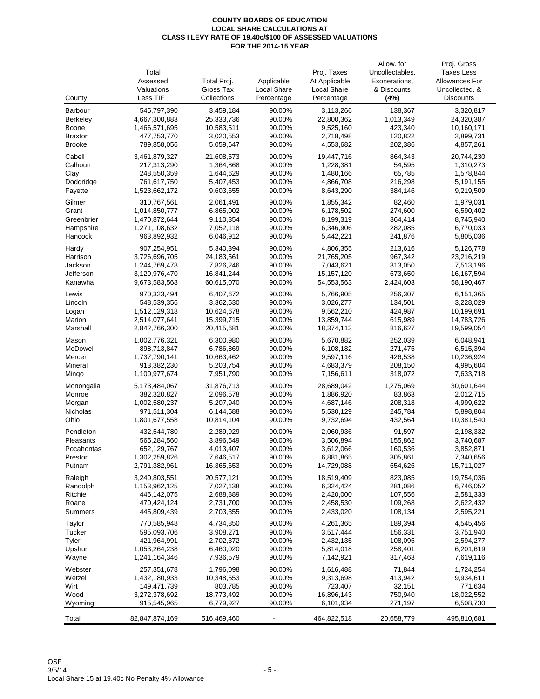|                   |                              |                         |                  |                         | Allow. for         | Proj. Gross             |
|-------------------|------------------------------|-------------------------|------------------|-------------------------|--------------------|-------------------------|
|                   | Total                        |                         |                  | Proj. Taxes             | Uncollectables,    | <b>Taxes Less</b>       |
|                   | Assessed                     | Total Proj.             | Applicable       | At Applicable           | Exonerations,      | Allowances For          |
|                   | Valuations                   | Gross Tax               | Local Share      | Local Share             | & Discounts        | Uncollected. &          |
| County            | Less TIF                     | Collections             | Percentage       | Percentage              | (4%)               | <b>Discounts</b>        |
| Barbour           | 545,797,390                  | 3,459,184               | 90.00%           | 3,113,266               | 138,367            | 3,320,817               |
| <b>Berkeley</b>   | 4,667,300,883                | 25,333,736              | 90.00%           | 22,800,362              | 1,013,349          | 24,320,387              |
| <b>Boone</b>      | 1,466,571,695                | 10,583,511              | 90.00%           | 9,525,160               | 423,340            | 10,160,171              |
| <b>Braxton</b>    | 477,753,770                  | 3,020,553               | 90.00%           | 2,718,498               | 120,822            | 2,899,731               |
| <b>Brooke</b>     | 789,858,056                  | 5,059,647               | 90.00%           | 4,553,682               | 202,386            | 4,857,261               |
|                   |                              |                         | 90.00%           |                         |                    |                         |
| Cabell<br>Calhoun | 3,461,879,327<br>217,313,290 | 21,608,573<br>1,364,868 | 90.00%           | 19,447,716<br>1,228,381 | 864,343<br>54,595  | 20,744,230<br>1,310,273 |
| Clay              | 248,550,359                  | 1,644,629               | 90.00%           | 1,480,166               | 65,785             | 1,578,844               |
| Doddridge         | 761,617,750                  | 5,407,453               | 90.00%           | 4,866,708               | 216,298            | 5,191,155               |
| Fayette           | 1,523,662,172                | 9,603,655               | 90.00%           | 8,643,290               | 384,146            | 9,219,509               |
|                   |                              |                         |                  |                         |                    |                         |
| Gilmer            | 310,767,561                  | 2,061,491               | 90.00%           | 1,855,342               | 82,460             | 1,979,031               |
| Grant             | 1,014,850,777                | 6,865,002               | 90.00%           | 6,178,502               | 274,600            | 6,590,402               |
| Greenbrier        | 1,470,872,644                | 9,110,354               | 90.00%           | 8,199,319               | 364,414            | 8,745,940               |
| Hampshire         | 1,271,108,632                | 7,052,118               | 90.00%           | 6,346,906               | 282,085            | 6,770,033               |
| Hancock           | 963,892,932                  | 6,046,912               | 90.00%           | 5,442,221               | 241,876            | 5,805,036               |
| Hardy             | 907,254,951                  | 5,340,394               | 90.00%           | 4,806,355               | 213,616            | 5,126,778               |
| Harrison          | 3,726,696,705                | 24, 183, 561            | 90.00%           | 21,765,205              | 967,342            | 23,216,219              |
| Jackson           | 1,244,769,478                | 7,826,246               | 90.00%           | 7,043,621               | 313,050            | 7,513,196               |
| Jefferson         | 3,120,976,470                | 16,841,244              | 90.00%           | 15, 157, 120            | 673,650            | 16, 167, 594            |
| Kanawha           | 9,673,583,568                | 60,615,070              | 90.00%           | 54,553,563              | 2,424,603          | 58,190,467              |
| Lewis             | 970,323,494                  | 6,407,672               | 90.00%           | 5,766,905               | 256,307            | 6,151,365               |
| Lincoln           | 548,539,356                  | 3,362,530               | 90.00%           | 3,026,277               | 134,501            | 3,228,029               |
| Logan             | 1,512,129,318                | 10,624,678              | 90.00%           | 9,562,210               | 424,987            | 10,199,691              |
| Marion            | 2,514,077,641                | 15,399,715              | 90.00%           | 13,859,744              | 615,989            | 14,783,726              |
| Marshall          | 2,842,766,300                | 20,415,681              | 90.00%           | 18,374,113              | 816,627            | 19,599,054              |
|                   |                              |                         |                  |                         |                    |                         |
| Mason             | 1,002,776,321                | 6,300,980               | 90.00%           | 5,670,882               | 252,039            | 6,048,941               |
| McDowell          | 898,713,847                  | 6,786,869               | 90.00%           | 6,108,182               | 271,475            | 6,515,394               |
| Mercer            | 1,737,790,141                | 10,663,462              | 90.00%           | 9,597,116               | 426,538            | 10,236,924              |
| Mineral           | 913,382,230                  | 5,203,754               | 90.00%           | 4,683,379               | 208,150            | 4,995,604               |
| Mingo             | 1,100,977,674                | 7,951,790               | 90.00%           | 7,156,611               | 318,072            | 7,633,718               |
| Monongalia        | 5,173,484,067                | 31,876,713              | 90.00%           | 28,689,042              | 1,275,069          | 30,601,644              |
| Monroe            | 382,320,827                  | 2,096,578               | 90.00%           | 1,886,920               | 83,863             | 2,012,715               |
| Morgan            | 1,002,580,237                | 5,207,940               | 90.00%           | 4,687,146               | 208,318            | 4,999,622               |
| Nicholas          | 971,511,304                  | 6,144,588               | 90.00%           | 5,530,129               | 245,784            | 5,898,804               |
| Ohio              | 1,801,677,558                | 10,814,104              | 90.00%           | 9,732,694               | 432,564            | 10,381,540              |
| Pendleton         | 432,544,780                  | 2,289,929               | 90.00%           | 2,060,936               | 91,597             | 2,198,332               |
| Pleasants         | 565,284,560                  | 3,896,549               | 90.00%           | 3,506,894               | 155,862            | 3,740,687               |
| Pocahontas        | 652,129,767                  | 4,013,407               | 90.00%           | 3,612,066               | 160,536            | 3,852,871               |
| Preston           | 1,302,259,826                | 7,646,517               | 90.00%           | 6,881,865               | 305,861            | 7,340,656               |
| Putnam            | 2,791,382,961                | 16,365,653              | 90.00%           | 14,729,088              | 654,626            | 15,711,027              |
| Raleigh           | 3,240,803,551                | 20,577,121              | 90.00%           | 18,519,409              | 823,085            | 19,754,036              |
| Randolph          | 1,153,962,125                | 7,027,138               | 90.00%           | 6,324,424               | 281,086            | 6,746,052               |
| Ritchie           | 446,142,075                  | 2,688,889               | 90.00%           | 2,420,000               | 107,556            | 2,581,333               |
| Roane             | 470,424,124                  | 2,731,700               | 90.00%           | 2,458,530               | 109,268            | 2,622,432               |
| Summers           | 445,809,439                  | 2,703,355               | 90.00%           | 2,433,020               | 108,134            | 2,595,221               |
|                   |                              |                         |                  |                         |                    |                         |
| Taylor            | 770,585,948                  | 4,734,850               | 90.00%           | 4,261,365               | 189,394            | 4,545,456               |
| Tucker            | 595,093,706                  | 3,908,271               | 90.00%           | 3,517,444               | 156,331            | 3,751,940               |
| Tyler<br>Upshur   | 421,964,991<br>1,053,264,238 | 2,702,372               | 90.00%<br>90.00% | 2,432,135               | 108,095<br>258,401 | 2,594,277               |
|                   |                              | 6,460,020<br>7,936,579  | 90.00%           | 5,814,018               | 317,463            | 6,201,619               |
| Wayne             | 1,241,164,346                |                         |                  | 7,142,921               |                    | 7,619,116               |
| Webster           | 257,351,678                  | 1,796,098               | 90.00%           | 1,616,488               | 71,844             | 1,724,254               |
| Wetzel            | 1,432,180,933                | 10,348,553              | 90.00%           | 9,313,698               | 413,942            | 9,934,611               |
| Wirt              | 149,471,739                  | 803,785                 | 90.00%           | 723,407                 | 32,151             | 771,634                 |
| Wood              | 3,272,378,692                | 18,773,492              | 90.00%           | 16,896,143              | 750,940            | 18,022,552              |
| Wyoming           | 915,545,965                  | 6,779,927               | 90.00%           | 6,101,934               | 271,197            | 6,508,730               |
| Total             | 82,847,874,169               | 516,469,460             |                  | 464,822,518             | 20,658,779         | 495,810,681             |